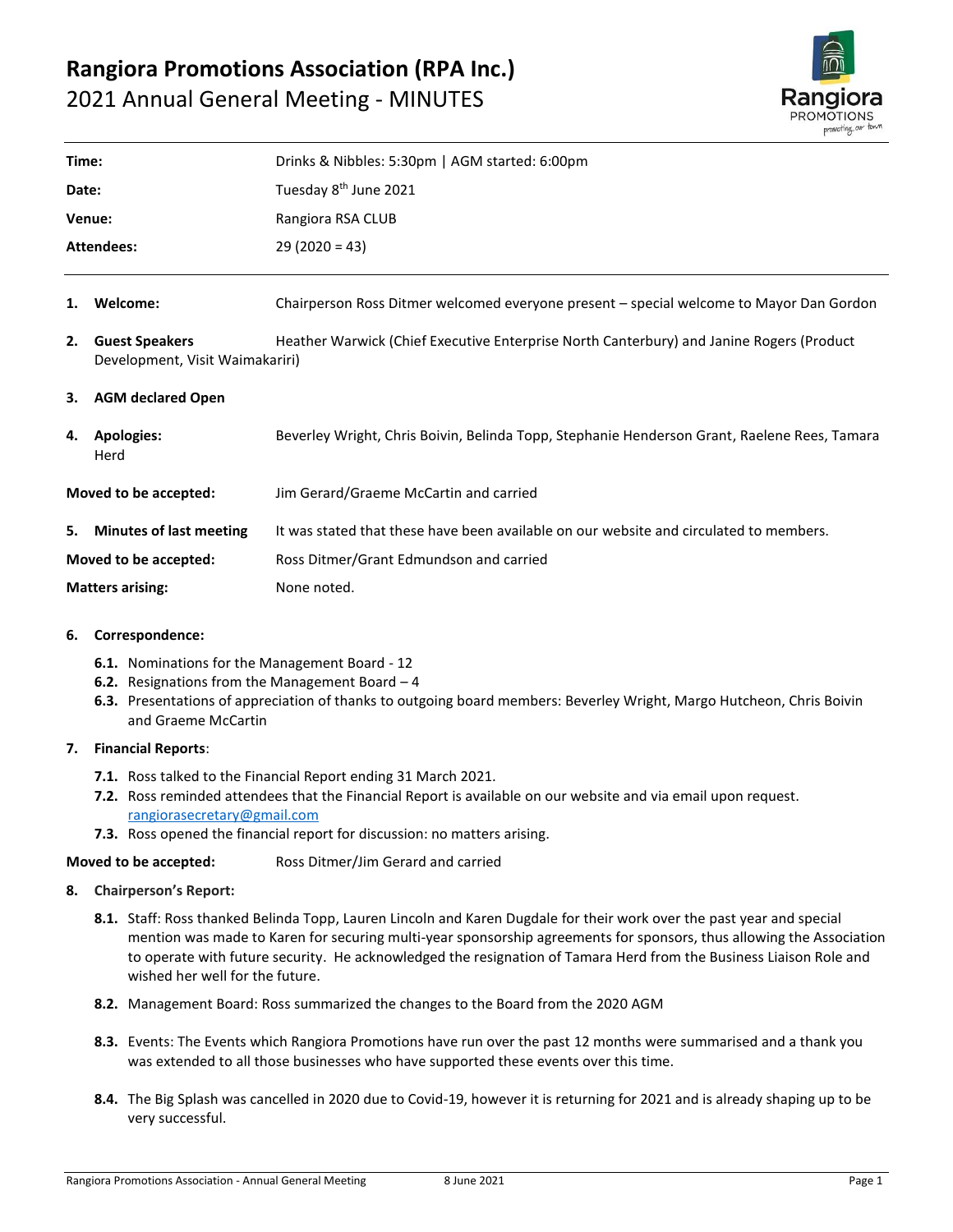# **Rangiora Promotions Association (RPA Inc.)** 2021 Annual General Meeting - MINUTES



| Time:                   |                                                          | Drinks & Nibbles: 5:30pm   AGM started: 6:00pm                                               |
|-------------------------|----------------------------------------------------------|----------------------------------------------------------------------------------------------|
| Date:                   |                                                          | Tuesday 8 <sup>th</sup> June 2021                                                            |
| Venue:                  |                                                          | Rangiora RSA CLUB                                                                            |
| Attendees:              |                                                          | $29(2020 = 43)$                                                                              |
| 1.                      | Welcome:                                                 | Chairperson Ross Ditmer welcomed everyone present – special welcome to Mayor Dan Gordon      |
| 2.                      | <b>Guest Speakers</b><br>Development, Visit Waimakariri) | Heather Warwick (Chief Executive Enterprise North Canterbury) and Janine Rogers (Product     |
|                         | 3. AGM declared Open                                     |                                                                                              |
| 4.                      | <b>Apologies:</b><br>Herd                                | Beverley Wright, Chris Boivin, Belinda Topp, Stephanie Henderson Grant, Raelene Rees, Tamara |
| Moved to be accepted:   |                                                          | Jim Gerard/Graeme McCartin and carried                                                       |
| 5.                      | <b>Minutes of last meeting</b>                           | It was stated that these have been available on our website and circulated to members.       |
| Moved to be accepted:   |                                                          | Ross Ditmer/Grant Edmundson and carried                                                      |
| <b>Matters arising:</b> |                                                          | None noted.                                                                                  |
|                         |                                                          |                                                                                              |

#### **6. Correspondence:**

- **6.1.** Nominations for the Management Board 12
- **6.2.** Resignations from the Management Board 4
- **6.3.** Presentations of appreciation of thanks to outgoing board members: Beverley Wright, Margo Hutcheon, Chris Boivin and Graeme McCartin

# **7. Financial Reports**:

- **7.1.** Ross talked to the Financial Report ending 31 March 2021.
- **7.2.** Ross reminded attendees that the Financial Report is available on our website and via email upon request. [rangiorasecretary@gmail.com](mailto:rangiorasecretary@gmail.com)
- **7.3.** Ross opened the financial report for discussion: no matters arising.

# **Moved to be accepted:** Ross Ditmer/Jim Gerard and carried

#### **8. Chairperson's Report:**

- **8.1.** Staff: Ross thanked Belinda Topp, Lauren Lincoln and Karen Dugdale for their work over the past year and special mention was made to Karen for securing multi-year sponsorship agreements for sponsors, thus allowing the Association to operate with future security. He acknowledged the resignation of Tamara Herd from the Business Liaison Role and wished her well for the future.
- **8.2.** Management Board: Ross summarized the changes to the Board from the 2020 AGM
- **8.3.** Events: The Events which Rangiora Promotions have run over the past 12 months were summarised and a thank you was extended to all those businesses who have supported these events over this time.
- **8.4.** The Big Splash was cancelled in 2020 due to Covid-19, however it is returning for 2021 and is already shaping up to be very successful.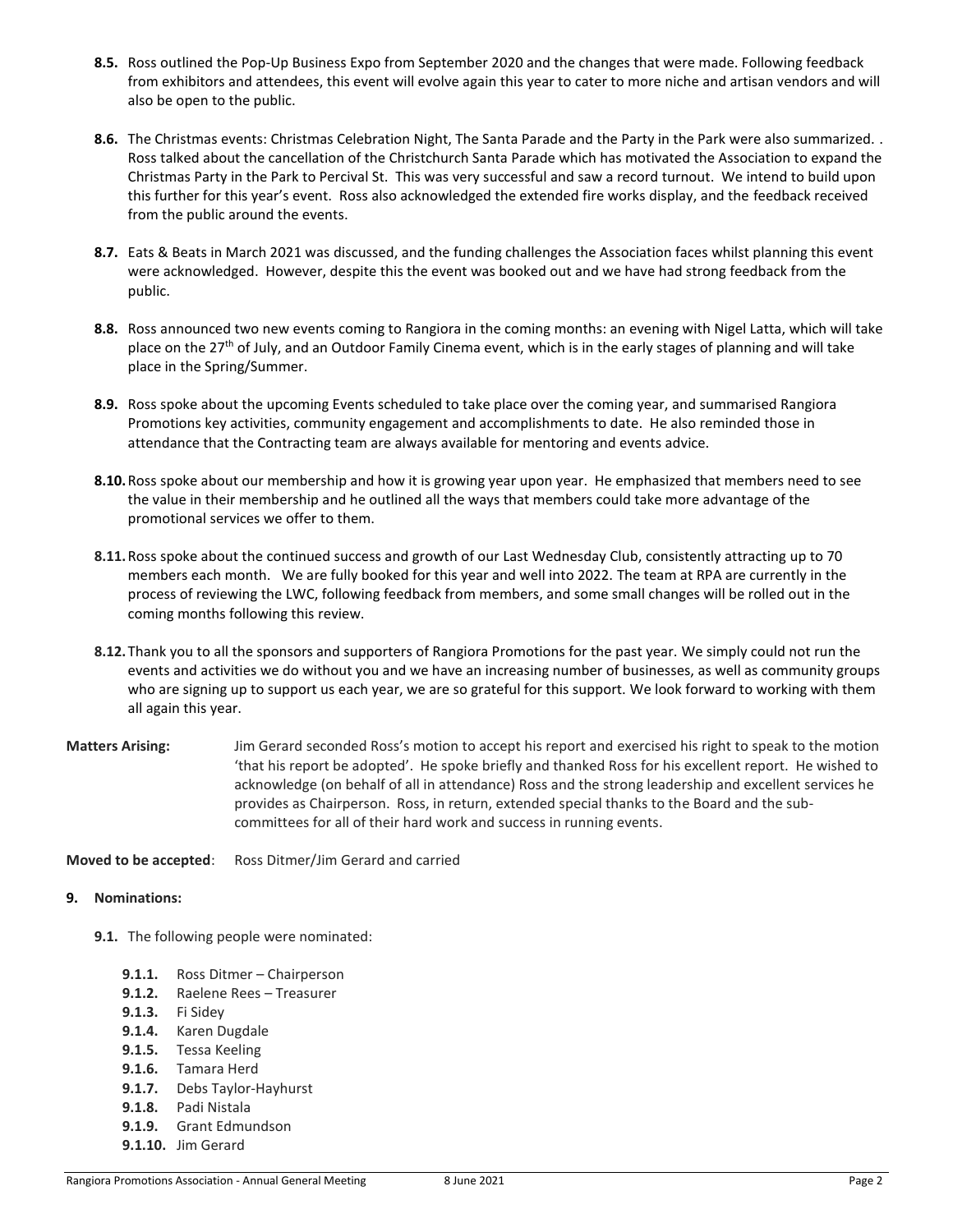- **8.5.** Ross outlined the Pop-Up Business Expo from September 2020 and the changes that were made. Following feedback from exhibitors and attendees, this event will evolve again this year to cater to more niche and artisan vendors and will also be open to the public.
- **8.6.** The Christmas events: Christmas Celebration Night, The Santa Parade and the Party in the Park were also summarized. . Ross talked about the cancellation of the Christchurch Santa Parade which has motivated the Association to expand the Christmas Party in the Park to Percival St. This was very successful and saw a record turnout. We intend to build upon this further for this year's event. Ross also acknowledged the extended fire works display, and the feedback received from the public around the events.
- **8.7.** Eats & Beats in March 2021 was discussed, and the funding challenges the Association faces whilst planning this event were acknowledged. However, despite this the event was booked out and we have had strong feedback from the public.
- **8.8.** Ross announced two new events coming to Rangiora in the coming months: an evening with Nigel Latta, which will take place on the 27<sup>th</sup> of July, and an Outdoor Family Cinema event, which is in the early stages of planning and will take place in the Spring/Summer.
- **8.9.** Ross spoke about the upcoming Events scheduled to take place over the coming year, and summarised Rangiora Promotions key activities, community engagement and accomplishments to date. He also reminded those in attendance that the Contracting team are always available for mentoring and events advice.
- **8.10.**Ross spoke about our membership and how it is growing year upon year. He emphasized that members need to see the value in their membership and he outlined all the ways that members could take more advantage of the promotional services we offer to them.
- **8.11.**Ross spoke about the continued success and growth of our Last Wednesday Club, consistently attracting up to 70 members each month. We are fully booked for this year and well into 2022. The team at RPA are currently in the process of reviewing the LWC, following feedback from members, and some small changes will be rolled out in the coming months following this review.
- **8.12.**Thank you to all the sponsors and supporters of Rangiora Promotions for the past year. We simply could not run the events and activities we do without you and we have an increasing number of businesses, as well as community groups who are signing up to support us each year, we are so grateful for this support. We look forward to working with them all again this year.
- **Matters Arising:** Jim Gerard seconded Ross's motion to accept his report and exercised his right to speak to the motion 'that his report be adopted'. He spoke briefly and thanked Ross for his excellent report. He wished to acknowledge (on behalf of all in attendance) Ross and the strong leadership and excellent services he provides as Chairperson. Ross, in return, extended special thanks to the Board and the subcommittees for all of their hard work and success in running events.

**Moved to be accepted**: Ross Ditmer/Jim Gerard and carried

#### **9. Nominations:**

- **9.1.** The following people were nominated:
	- **9.1.1.** Ross Ditmer Chairperson
	- **9.1.2.** Raelene Rees Treasurer
	- **9.1.3.** Fi Sidey
	- **9.1.4.** Karen Dugdale
	- **9.1.5.** Tessa Keeling
	- **9.1.6.** Tamara Herd
	- **9.1.7.** Debs Taylor-Hayhurst
	- **9.1.8.** Padi Nistala
	- **9.1.9.** Grant Edmundson
	- **9.1.10.** Jim Gerard